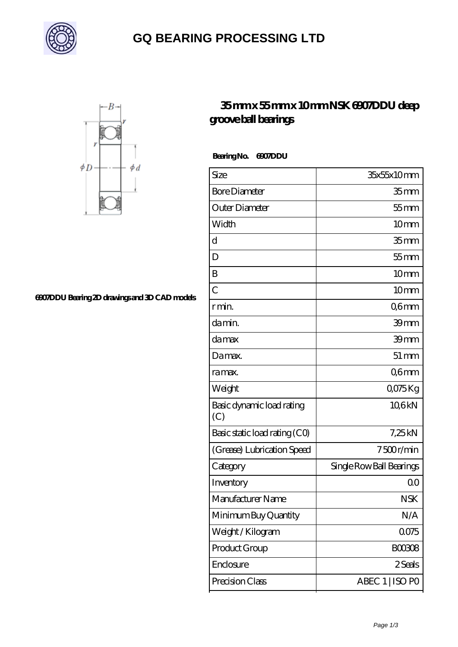

# **[GQ BEARING PROCESSING LTD](https://uiuae.com)**



#### **[6907DDU Bearing 2D drawings and 3D CAD models](https://uiuae.com/pic-64749811.html)**

### **[35 mm x 55 mm x 10 mm NSK 6907DDU deep](https://uiuae.com/at-64749811-nsk-6907ddu-deep-groove-ball-bearings.html) [groove ball bearings](https://uiuae.com/at-64749811-nsk-6907ddu-deep-groove-ball-bearings.html)**

 **Bearing No. 6907DDU**

| Size                             | 35x55x10mm               |
|----------------------------------|--------------------------|
| <b>Bore Diameter</b>             | 35 <sub>mm</sub>         |
| Outer Diameter                   | $55$ mm                  |
| Width                            | 10mm                     |
| d                                | 35 <sub>mm</sub>         |
| D                                | $55$ mm                  |
| B                                | 10 <sub>mm</sub>         |
| $\overline{C}$                   | 10mm                     |
| r min.                           | Q6mm                     |
| da min.                          | 39 <sub>mm</sub>         |
| damax                            | 39mm                     |
| Damax.                           | $51 \, \text{mm}$        |
| ra max.                          | Q6mm                     |
| Weight                           | Q075Kg                   |
| Basic dynamic load rating<br>(C) | 106kN                    |
| Basic static load rating (CO)    | 7,25 kN                  |
| (Grease) Lubrication Speed       | 7500r/min                |
| Category                         | Single Row Ball Bearings |
| Inventory                        | 0 <sub>0</sub>           |
| Manufacturer Name                | <b>NSK</b>               |
| Minimum Buy Quantity             | N/A                      |
| Weight / Kilogram                | 0075                     |
| Product Group                    | <b>BOO3O8</b>            |
| Enclosure                        | 2 Seals                  |
| Precision Class                  | ABEC 1   ISO PO          |
|                                  |                          |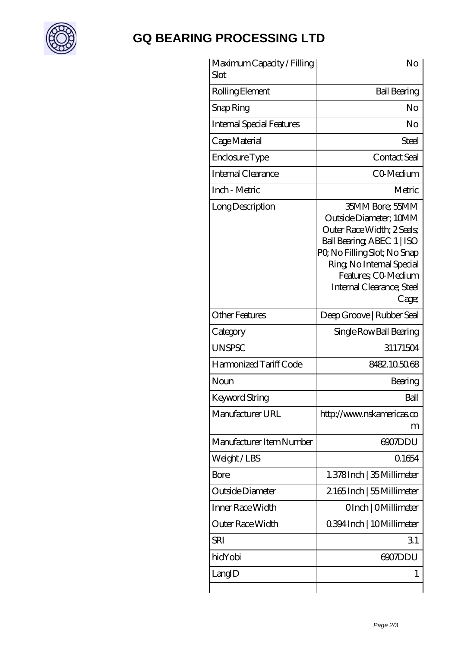

# **[GQ BEARING PROCESSING LTD](https://uiuae.com)**

| Maximum Capacity / Filling<br>Slot | No                                                                                                                                                                                                                             |
|------------------------------------|--------------------------------------------------------------------------------------------------------------------------------------------------------------------------------------------------------------------------------|
| Rolling Element                    | <b>Ball Bearing</b>                                                                                                                                                                                                            |
| Snap Ring                          | No                                                                                                                                                                                                                             |
| <b>Internal Special Features</b>   | No                                                                                                                                                                                                                             |
| Cage Material                      | Steel                                                                                                                                                                                                                          |
| Enclosure Type                     | Contact Seal                                                                                                                                                                                                                   |
| Internal Clearance                 | CO-Medium                                                                                                                                                                                                                      |
| Inch - Metric                      | Metric                                                                                                                                                                                                                         |
| Long Description                   | 35MM Bore; 55MM<br>Outside Diameter; 10MM<br>Outer Race Width; 2 Seals;<br>Ball Bearing, ABEC 1   ISO<br>PQ No Filling Slot; No Snap<br>Ring, No Internal Special<br>Features; CO-Medium<br>Internal Clearance; Steel<br>Cage; |
| <b>Other Features</b>              | Deep Groove   Rubber Seal                                                                                                                                                                                                      |
| Category                           | Single Row Ball Bearing                                                                                                                                                                                                        |
| <b>UNSPSC</b>                      | 31171504                                                                                                                                                                                                                       |
| Harmonized Tariff Code             | 8482105068                                                                                                                                                                                                                     |
| Noun                               | Bearing                                                                                                                                                                                                                        |
| Keyword String                     | Ball                                                                                                                                                                                                                           |
| Manufacturer URL                   | http://www.nskamericas.co<br>m                                                                                                                                                                                                 |
| Manufacturer Item Number           | 6907DDU                                                                                                                                                                                                                        |
| Weight/LBS                         | 0.1654                                                                                                                                                                                                                         |
| Bore                               | 1.378Inch   35 Millimeter                                                                                                                                                                                                      |
| Outside Diameter                   | 2165Inch   55Millimeter                                                                                                                                                                                                        |
| Inner Race Width                   | OInch   OMillimeter                                                                                                                                                                                                            |
| Outer Race Width                   | 0.394 Inch   10 Millimeter                                                                                                                                                                                                     |
| SRI                                | 31                                                                                                                                                                                                                             |
| hidYobi                            |                                                                                                                                                                                                                                |
|                                    | 6907DDU                                                                                                                                                                                                                        |
| LangID                             | 1                                                                                                                                                                                                                              |